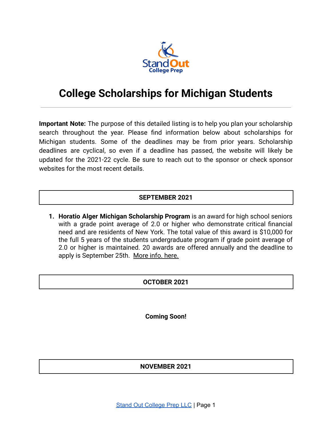

# **College Scholarships for Michigan Students**

**Important Note:** The purpose of this detailed listing is to help you plan your scholarship search throughout the year. Please find information below about scholarships for Michigan students. Some of the deadlines may be from prior years. Scholarship deadlines are cyclical, so even if a deadline has passed, the website will likely be updated for the 2021-22 cycle. Be sure to reach out to the sponsor or check sponsor websites for the most recent details.

# **SEPTEMBER 2021**

**1. Horatio Alger Michigan Scholarship Program** is an award for high school seniors with a grade point average of 2.0 or higher who demonstrate critical financial need and are residents of New York. The total value of this award is \$10,000 for the full 5 years of the students undergraduate program if grade point average of 2.0 or higher is maintained. 20 awards are offered annually and the deadline to apply is September 25th. [More info. here.](https://scholars.horatioalger.org/scholarships/)

### **OCTOBER 2021**

**Coming Soon!**

**NOVEMBER 2021**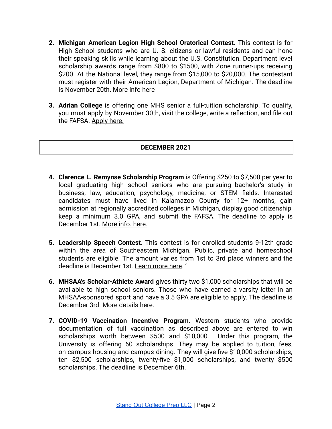- **2. Michigan American Legion High School Oratorical Contest.** This contest is for High School students who are U. S. citizens or lawful residents and can hone their speaking skills while learning about the U.S. Constitution. Department level scholarship awards range from \$800 to \$1500, with Zone runner-ups receiving \$200. At the National level, they range from \$15,000 to \$20,000. The contestant must register with their American Legion, Department of Michigan. The deadline is November 20th. [More info here](https://michiganlegion.org/oratorical/)
- **3. Adrian College** is offering one MHS senior a full-tuition scholarship. To qualify, you must [apply](https://apply.adrian.edu/) by November 30th, visit the college, write a reflection, and file out the FAFSA. [Apply here.](https://apply.adrian.edu/undergraduate-application)

### **DECEMBER 2021**

- **4. Clarence L. Remynse Scholarship Program** is Offering \$250 to \$7,500 per year to local graduating high school seniors who are pursuing bachelor's study in business, law, education, psychology, medicine, or STEM fields. Interested candidates must have lived in Kalamazoo County for 12+ months, gain admission at regionally accredited colleges in Michigan, display good citizenship, keep a minimum 3.0 GPA, and submit the FAFSA. The deadline to apply is December 1st. [More info. here.](http://www.kalfound.org/Scholarships/OurScholarships/ClarenceLRemynseScholarship/tabid/234/Default.aspx)
- **5. Leadership Speech Contest.** This contest is for enrolled students 9-12th grade within the area of Southeastern Michigan. Public, private and homeschool students are eligible. The amount varies from 1st to 3rd place winners and the deadline is December 1st. [Learn more here.](https://nma1.org/141/speech-contest/) '
- **6. MHSAA's Scholar-Athlete Award** gives thirty two \$1,000 scholarships that will be available to high school seniors. Those who have earned a varsity letter in an MHSAA-sponsored sport and have a 3.5 GPA are eligible to apply. The deadline is December 3rd. [More details here.](https://www.mhsaa.com/Schools/Students/Scholar-Athlete-Award)
- **7. COVID-19 Vaccination Incentive Program.** Western students who provide documentation of full vaccination as described above are entered to win scholarships worth between \$500 and \$10,000. Under this program, the University is offering 60 scholarships. They may be applied to tuition, fees, on-campus housing and campus dining. They will give five \$10,000 scholarships, ten \$2,500 scholarships, twenty-five \$1,000 scholarships, and twenty \$500 scholarships. The deadline is December 6th.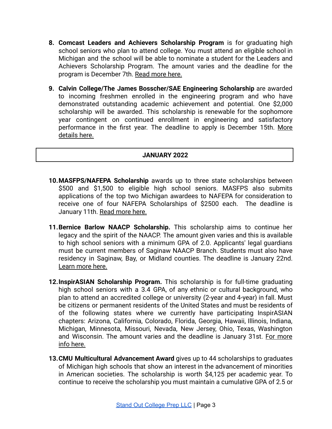- **8. Comcast Leaders and Achievers Scholarship Program** is for graduating high school seniors who plan to attend college. You must attend an eligible school in Michigan and the school will be able to nominate a student for the Leaders and Achievers Scholarship Program. The amount varies and the deadline for the program is December 7th. [Read more here.](https://corporate.comcast.com/our-values/community-investment/youth-education-leadership#accordion-2)
- **9. Calvin College/The James Bosscher/SAE Engineering Scholarship** are awarded to incoming freshmen enrolled in the engineering program and who have demonstrated outstanding academic achievement and potential. One \$2,000 scholarship will be awarded. This scholarship is renewable for the sophomore year contingent on continued enrollment in engineering and satisfactory performance in the first year. The deadline to apply is December 15th. [More](http://students.sae.org/awdscholar/scholarships) [details here.](http://students.sae.org/awdscholar/scholarships)

#### **JANUARY 2022**

- **10.MASFPS/NAFEPA Scholarship** awards up to three state scholarships between \$500 and \$1,500 to eligible high school seniors. MASFPS also submits applications of the top two Michigan awardees to NAFEPA for consideration to receive one of four NAFEPA Scholarships of \$2500 each. The deadline is January 11th. [Read more here.](https://www.masfps.org/nafepa-scholarships/)
- **11.Bernice Barlow NAACP Scholarship.** This scholarship aims to continue her legacy and the spirit of the NAACP. The amount given varies and this is available to high school seniors with a minimum GPA of 2.0. Applicants' legal guardians must be current members of Saginaw NAACP Branch. Students must also have residency in Saginaw, Bay, or Midland counties. The deadline is January 22nd. [Learn more here.](http://www.saginawfoundation.org/site/bernice-barlow-naacp-scholarship/)
- **12.InspirASIAN Scholarship Program.** This scholarship is for full-time graduating high school seniors with a 3.4 GPA, of any ethnic or cultural background, who plan to attend an accredited college or university (2-year and 4-year) in fall. Must be citizens or permanent residents of the United States and must be residents of of the following states where we currently have participating InspirASIAN chapters: Arizona, California, Colorado, Florida, Georgia, Hawaii, Illinois, Indiana, Michigan, Minnesota, Missouri, Nevada, New Jersey, Ohio, Texas, Washington and Wisconsin. The amount varies and the deadline is January 31st. For [more](https://inspirasian.us/programs/scholarship-program/) [info here.](https://inspirasian.us/programs/scholarship-program/)
- **13.CMU Multicultural Advancement Award** gives up to 44 scholarships to graduates of Michigan high schools that show an interest in the advancement of minorities in American societies. The scholarship is worth \$4,125 per academic year. To continue to receive the scholarship you must maintain a cumulative GPA of 2.5 or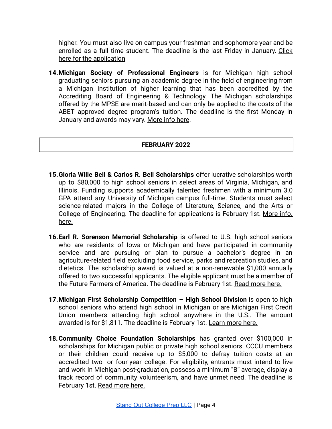higher. You must also live on campus your freshman and sophomore year and be enrolled as a full time student. The deadline is the last Friday in January. [Click](https://www.cmich.edu/ess/oss/gearup/scholarship_opportunities/Documents/Cofer%20application.pdf) [here for the application](https://www.cmich.edu/ess/oss/gearup/scholarship_opportunities/Documents/Cofer%20application.pdf)

**14.Michigan Society of Professional Engineers** is for Michigan high school graduating seniors pursuing an academic degree in the field of engineering from a Michigan institution of higher learning that has been accredited by the Accrediting Board of Engineering & Technology. The Michigan scholarships offered by the MPSE are merit-based and can only be applied to the costs of the ABET approved degree program's tuition. The deadline is the first Monday in January and awards may vary. [More info here](https://www.michiganspe.org/scholarships/).

## **FEBRUARY 2022**

- **15.Gloria Wille Bell & Carlos R. Bell Scholarships** offer lucrative scholarships worth up to \$80,000 to high school seniors in select areas of Virginia, Michigan, and Illinois. Funding supports academically talented freshmen with a minimum 3.0 GPA attend any University of Michigan campus full-time. Students must select science-related majors in the College of Literature, Science, and the Arts or College of Engineering. The deadline for applications is February 1st. [More](https://bellscholarship.org/) info. [here.](https://bellscholarship.org/)
- **16.Earl R. Sorenson Memorial Scholarship** is offered to U.S. high school seniors who are residents of Iowa or Michigan and have participated in community service and are pursuing or plan to pursue a bachelor's degree in an agriculture-related field excluding food service, parks and recreation studies, and dietetics. The scholarship award is valued at a non-renewable \$1,000 annually offered to two successful applicants. The eligible applicant must be a member of the Future Farmers of America. The deadline is February 1st. [Read more here.](https://www.abilitycenter.org/programs/scholarship-application/)
- **17.Michigan First Scholarship Competition – High School Division** is open to high school seniors who attend high school in Michigan or are Michigan First Credit Union members attending high school anywhere in the U.S.. The amount awarded is for \$1,811. The deadline is February 1st. [Learn more here.](https://michiganfirst.com/About/Community/Scholarships)
- **18.Community Choice Foundation Scholarships** has granted over \$100,000 in scholarships for Michigan public or private high school seniors. CCCU members or their children could receive up to \$5,000 to defray tuition costs at an accredited two- or four-year college. For eligibility, entrants must intend to live and work in Michigan post-graduation, possess a minimum "B" average, display a track record of community volunteerism, and have unmet need. The deadline is February 1st. [Read more here.](https://www.communitychoicecu.com)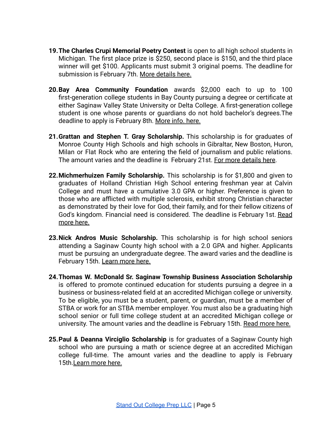- **19.The Charles Crupi Memorial Poetry Contest** is open to all high school students in Michigan. The first place prize is \$250, second place is \$150, and the third place winner will get \$100. Applicants must submit 3 original poems. The deadline for submission is February 7th. [More details here.](https://www.monroe.k12.mi.us/files/user/1724/file/Albion%20Poetry.pdf)
- **20.Bay Area Community Foundation** awards \$2,000 each to up to 100 first-generation college students in Bay County pursuing a degree or certificate at either Saginaw Valley State University or Delta College. A first-generation college student is one whose parents or guardians do not hold bachelor's degrees.The deadline to apply is February 8th. [More info. here.](https://bayfoundation.org/students-menu/scholarship-opportunities/bay-commitment-scholarship)
- **21.Grattan and Stephen T. Gray Scholarship.** This scholarship is for graduates of Monroe County High Schools and high schools in Gibraltar, New Boston, Huron, Milan or Flat Rock who are entering the field of journalism and public relations. The amount varies and the deadline is February 21st. [For more details here](https://cfmonroe.org/scholarships/).
- **22.Michmerhuizen Family Scholarship.** This scholarship is for \$1,800 and given to graduates of Holland Christian High School entering freshman year at Calvin College and must have a cumulative 3.0 GPA or higher. Preference is given to those who are afflicted with multiple sclerosis, exhibit strong Christian character as demonstrated by their love for God, their family, and for their fellow citizens of God's kingdom. Financial need is considered. The deadline is February 1st. [Read](https://calvin.academicworks.com/opportunities/17760) [more here.](https://calvin.academicworks.com/opportunities/17760)
- **23.Nick Andros Music Scholarship.** This scholarship is for high school seniors attending a Saginaw County high school with a 2.0 GPA and higher. Applicants must be pursuing an undergraduate degree. The award varies and the deadline is February 15th. [Learn more here.](http://www.saginawfoundation.org/site/nick-andros-music-scholarship/)
- **24.Thomas W. McDonald Sr. Saginaw Township Business Association Scholarship** is offered to promote continued education for students pursuing a degree in a business or business-related field at an accredited Michigan college or university. To be eligible, you must be a student, parent, or guardian, must be a member of STBA or work for an STBA member employer. You must also be a graduating high school senior or full time college student at an accredited Michigan college or university. The amount varies and the deadline is February 15th. [Read more here.](http://www.saginawfoundation.org/site/thomas-w-mcdonald-sr-saginaw-township-business-association-scholarship/)
- **25.Paul & Deanna Virciglio Scholarship** is for graduates of a Saginaw County high school who are pursuing a math or science degree at an accredited Michigan college full-time. The amount varies and the deadline to apply is February 15th[.Learn more here.](http://www.saginawfoundation.org/site/paul-deanna-virciglio-scholarship/)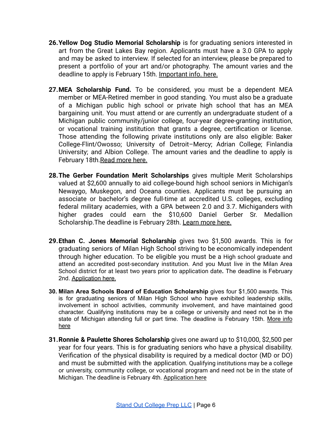- **26.Yellow Dog Studio Memorial Scholarship** is for graduating seniors interested in art from the Great Lakes Bay region. Applicants must have a 3.0 GPA to apply and may be asked to interview. If selected for an interview, please be prepared to present a portfolio of your art and/or photography. The amount varies and the deadline to apply is February 15th. [Important info.](http://www.saginawfoundation.org/site/yellow-dog/) here.
- **27.MEA Scholarship Fund.** To be considered, you must be a dependent MEA member or MEA-Retired member in good standing. You must also be a graduate of a Michigan public high school or private high school that has an MEA bargaining unit. You must attend or are currently an undergraduate student of a Michigan public community/junior college, four-year degree-granting institution, or vocational training institution that grants a degree, certification or license. Those attending the following private institutions only are also eligible: Baker College-Flint/Owosso; University of Detroit–Mercy; Adrian College; Finlandia University; and Albion College. The amount varies and the deadline to apply is February 18th. [Read more here.](https://mea.org/mea-scholarship/)
- **28.The Gerber Foundation Merit Scholarships** gives multiple Merit Scholarships valued at \$2,600 annually to aid college-bound high school seniors in Michigan's Newaygo, Muskegon, and Oceana counties. Applicants must be pursuing an associate or bachelor's degree full-time at accredited U.S. colleges, excluding federal military academies, with a GPA between 2.0 and 3.7. Michiganders with higher grades could earn the \$10,600 Daniel Gerber Sr. Medallion Scholarship. The deadline is February 28th. [Learn more](http://www.gerberfoundation.org/scholarships-programs/) here.
- **29.Ethan C. Jones Memorial Scholarship** gives two \$1,500 awards. This is for graduating seniors of Milan High School striving to be economically independent through higher education. To be eligible you must be a High school graduate and attend an accredited post-secondary institution. And you Must live in the Milan Area School district for at least two years prior to application date**.** The deadline is February 2nd. [Application](https://www.gmacf.org/wp-content/uploads/2018/11/2019-Jones_GMACF-Scholarship.pdf) here.
- **30. Milan Area Schools Board of Education Scholarship** gives four \$1,500 awards. This is for graduating seniors of Milan High School who have exhibited leadership skills, involvement in school activities, community involvement, and have maintained good character. Qualifying institutions may be a college or university and need not be in the state of Michigan attending full or part time. The deadline is February 15th. [More](https://www.gmacf.org/scholarship/milan-area-schools-board-of-education-scholarship-fund/) info [here](https://www.gmacf.org/scholarship/milan-area-schools-board-of-education-scholarship-fund/)
- **31.Ronnie & Paulette Shores Scholarship** gives one award up to \$10,000, \$2,500 per year for four years. This is for graduating seniors who have a physical disability. Verification of the physical disability is required by a medical doctor (MD or DO) and must be submitted with the application. Qualifying institutions may be a college or university, community college, or vocational program and need not be in the state of Michigan. The deadline is February 4th. [Application](https://www.gmacf.org/wp-content/uploads/2020/12/GMACF_2021-Scholarship-Application_Shores.pdf) here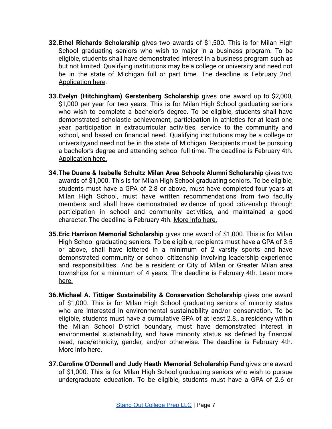- **32.Ethel Richards Scholarship** gives two awards of \$1,500. This is for Milan High School graduating seniors who wish to major in a business program. To be eligible, students shall have demonstrated interest in a business program such as but not limited. Qualifying institutions may be a college or university and need not be in the state of Michigan full or part time. The deadline is February 2nd. [Application here](https://www.milanareaschools.org/cms/lib/MI02208047/Centricity/Domain/1307/scappRichards.doc).
- **33.Evelyn (Hitchingham) Gerstenberg Scholarship** gives one award up to \$2,000, \$1,000 per year for two years. This is for Milan High School graduating seniors who wish to complete a bachelor's degree. To be eligible, students shall have demonstrated scholastic achievement, participation in athletics for at least one year, participation in extracurricular activities, service to the community and school, and based on financial need. Qualifying institutions may be a college or university,and need not be in the state of Michigan. Recipients must be pursuing a bachelor's degree and attending school full-time. The deadline is February 4th. [Application here.](https://www.gmacf.org/wp-content/uploads/2020/12/GMACF_2021-Scholarship-Application_Gerstenberg.pdf)
- **34.The Duane & Isabelle Schultz Milan Area Schools Alumni Scholarship** gives two awards of \$1,000. This is for Milan High School graduating seniors. To be eligible, students must have a GPA of 2.8 or above, must have completed four years at Milan High School, must have written recommendations from two faculty members and shall have demonstrated evidence of good citizenship through participation in school and community activities, and maintained a good character. The deadline is February 4th. [More info](https://www.gmacf.org/scholarship/duane-and-isaabelle-schultz-milan-area-schools-alumni-scholarship-fund/) here.
- **35.Eric Harrison Memorial Scholarship** gives one award of \$1,000. This is for Milan High School graduating seniors. To be eligible, recipients must have a GPA of 3.5 or above, shall have lettered in a minimum of 2 varsity sports and have demonstrated community or school citizenship involving leadership experience and responsibilities. And be a resident or City of Milan or Greater Milan area townships for a minimum of 4 years. The deadline is February 4th. [Learn](https://www.gmacf.org/scholarship/eric-harrison-memorial-scholoarship-fund/) more [here.](https://www.gmacf.org/scholarship/eric-harrison-memorial-scholoarship-fund/)
- **36.Michael A. Tittiger Sustainability & Conservation Scholarship** gives one award of \$1,000. This is for Milan High School graduating seniors of minority status who are interested in environmental sustainability and/or conservation. To be eligible, students must have a cumulative GPA of at least 2.8., a residency within the Milan School District boundary, must have demonstrated interest in environmental sustainability, and have minority status as defined by financial need, race/ethnicity, gender, and/or otherwise. The deadline is February 4th. [More info here.](https://www.gmacf.org/scholarship/michael-a-tittiger-sustainable-agriculture-environmental-conservation-scholarship-fund/)
- **37.Caroline O'Donnell and Judy Heath Memorial Scholarship Fund** gives one award of \$1,000. This is for Milan High School graduating seniors who wish to pursue undergraduate education. To be eligible, students must have a GPA of 2.6 or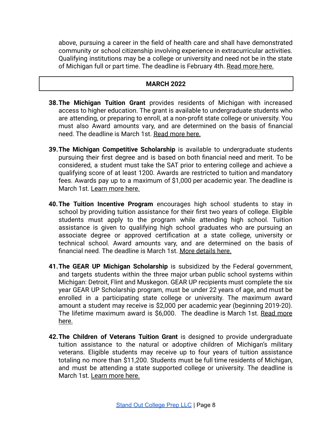above, pursuing a career in the field of health care and shall have demonstrated community or school citizenship involving experience in extracurricular activities. Qualifying institutions may be a college or university and need not be in the state of Michigan full or part time. The deadline is February 4th. [Read more here.](https://www.gmacf.org/scholarship/caroline-odonnell-judy-heath-memorial-scholarship/)

### **MARCH 2022**

- **38.The [Michigan](http://www.michigan.gov/mistudentaid/0,4636,7-128-60969_61016-274564--,00.html) Tuition Grant** provides residents of Michigan with increased access to higher education. The grant is available to undergraduate students who are attending, or preparing to enroll, at a non-profit state college or university. You must also Award amounts vary, and are determined on the basis of financial need. The deadline is March 1st. [Read more here.](https://www.michigan.gov/documents/mistudentaid/MTGFactSheet_636649_7.pdf)
- **39.The Michigan Competitive Scholarship** is available to undergraduate students pursuing their first degree and is based on both financial need and merit. To be considered, a student must take the SAT prior to entering college and achieve a qualifying score of at least 1200. Awards are restricted to tuition and mandatory fees. Awards pay up to a maximum of \$1,000 per academic year. The deadline is March 1st. [Learn more here.](https://www.michigan.gov/mistudentaid/0,4636,7-372--481214--,00.html)
- **40.The Tuition Incentive Program** encourages high school students to stay in school by providing tuition assistance for their first two years of college. Eligible students must apply to the program while attending high school. Tuition assistance is given to qualifying high school graduates who are pursuing an associate degree or approved certification at a state college, university or technical school. Award amounts vary, and are determined on the basis of financial need. The deadline is March 1st. [More details](https://www.michigan.gov/mistudentaid/0,4636,7-372--481218--,00.html) here.
- **41.The GEAR UP Michigan Scholarship** is subsidized by the Federal government, and targets students within the three major urban public school systems within Michigan: Detroit, Flint and Muskegon. GEAR UP recipients must complete the six year GEAR UP Scholarship program, must be under 22 years of age, and must be enrolled in a participating state college or university. The maximum award amount a student may receive is \$2,000 per academic year (beginning 2019-20). The lifetime maximum award is \$6,000. The deadline is March 1st. Read [more](https://www.michigan.gov/mistudentaid/0,4636,7-372--481215--,00.html) [here.](https://www.michigan.gov/mistudentaid/0,4636,7-372--481215--,00.html)
- **42.The Children of [Veterans](http://www.michigan.gov/mistudentaid/0,4636,7-128-60969_61016-274566--,00.html) Tuition Grant** is designed to provide undergraduate tuition assistance to the natural or adoptive children of Michigan's military veterans. Eligible students may receive up to four years of tuition assistance totaling no more than \$11,200. Students must be full time residents of Michigan, and must be attending a state supported college or university. The deadline is March 1st. [Learn more here.](https://www.michigan.gov/mistudentaid/0,4636,7-372--481212--,00.html)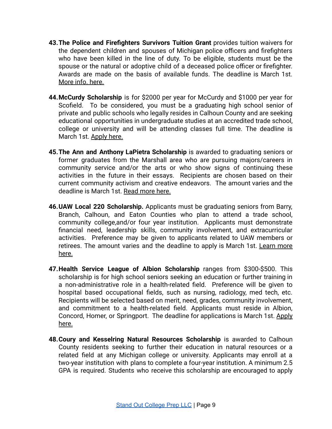- **43.The Police and Firefighters Survivors Tuition Grant** provides tuition waivers for the dependent children and spouses of Michigan police officers and firefighters who have been killed in the line of duty. To be eligible, students must be the spouse or the natural or adoptive child of a deceased police officer or firefighter. Awards are made on the basis of available funds. The deadline is March 1st. [More info. here.](https://www.michigan.gov/mistudentaid/0,4636,7-372--481217--,00.html)
- **44.McCurdy Scholarship** is for \$2000 per year for McCurdy and \$1000 per year for Scofield. To be considered, you must be a graduating high school senior of private and public schools who legally resides in Calhoun County and are seeking educational opportunities in undergraduate studies at an accredited trade school, college or university and will be attending classes full time. The deadline is March 1st. [Apply here.](http://hs.harpercreek.net/common/pages/DisplayFile.aspx?itemId=13098519)
- **45.The Ann and Anthony LaPietra Scholarship** is awarded to graduating seniors or former graduates from the Marshall area who are pursuing majors/careers in community service and/or the arts or who show signs of continuing these activities in the future in their essays. Recipients are chosen based on their current community activism and creative endeavors. The amount varies and the deadline is March 1st. [Read more here.](https://marshallcf.org/wp-content/uploads/LaPietra-Criteria.pdf)
- **46.UAW Local 220 Scholarship.** Applicants must be graduating seniors from Barry, Branch, Calhoun, and Eaton Counties who plan to attend a trade school, community college,and/or four year institution. Applicants must demonstrate financial need, leadership skills, community involvement, and extracurricular activities. Preference may be given to applicants related to UAW members or retirees. The amount varies and the deadline to apply is March 1st. [Learn](https://marshallcf.org/wp-content/uploads/UAW-Criteria.pdf) more [here.](https://marshallcf.org/wp-content/uploads/UAW-Criteria.pdf)
- **47.Health Service League of Albion Scholarship** ranges from \$300-\$500. This scholarship is for high school seniors seeking an education or further training in a non-administrative role in a health-related field. Preference will be given to hospital based occupational fields, such as nursing, radiology, med tech, etc. Recipients will be selected based on merit, need, grades, community involvement, and commitment to a health-related field. Applicants must reside in Albion, Concord, Homer, or Springport. The deadline for applications is March 1st. [Apply](https://www.homerschools.net/userfiles/-4/my%20files/albion%20community%20foundation%20scholarships.pdf?id=37) [here.](https://www.homerschools.net/userfiles/-4/my%20files/albion%20community%20foundation%20scholarships.pdf?id=37)
- **48.Coury and Kesselring Natural Resources Scholarship** is awarded to Calhoun County residents seeking to further their education in natural resources or a related field at any Michigan college or university. Applicants may enroll at a two-year institution with plans to complete a four-year institution. A minimum 2.5 GPA is required. Students who receive this scholarship are encouraged to apply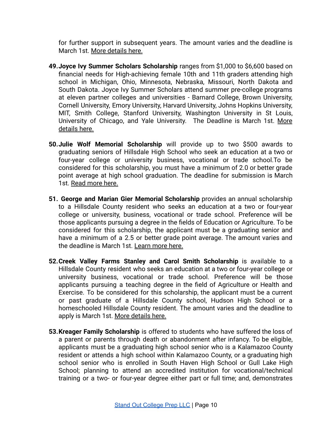for further support in subsequent years. The amount varies and the deadline is March 1st. [More details here.](http://hs.harpercreek.net/common/pages/DisplayFile.aspx?itemId=13138675)

- **49.Joyce Ivy Summer Scholars Scholarship** ranges from \$1,000 to \$6,600 based on financial needs for High-achieving female 10th and 11th graders attending high school in Michigan, Ohio, Minnesota, Nebraska, Missouri, North Dakota and South Dakota. Joyce Ivy Summer Scholars attend summer pre-college programs at eleven partner colleges and universities - Barnard College, Brown University, Cornell University, Emory University, Harvard University, Johns Hopkins University, MIT, Smith College, Stanford University, Washington University in St Louis, University of Chicago, and Yale University. The Deadline is March 1st. [More](https://www.joyceivyfoundation.org/summer-scholars.html) [details here.](https://www.joyceivyfoundation.org/summer-scholars.html)
- **50.Julie Wolf Memorial Scholarship** will provide up to two \$500 awards to graduating seniors of Hillsdale High School who seek an education at a two or four-year college or university business, vocational or trade school.To be considered for this scholarship, you must have a minimum of 2.0 or better grade point average at high school graduation. The deadline for submission is March 1st. [Read more here.](https://abouthccf.org/about/)
- **51. George and Marian Gier Memorial Scholarship** provides an annual scholarship to a Hillsdale County resident who seeks an education at a two or four-year college or university, business, vocational or trade school. Preference will be those applicants pursuing a degree in the fields of Education or Agriculture. To be considered for this scholarship, the applicant must be a graduating senior and have a minimum of a 2.5 or better grade point average. The amount varies and the deadline is March 1st. [Learn more here.](http://www.abouthccf.org)
- **52.Creek Valley Farms Stanley and Carol Smith Scholarship** is available to a Hillsdale County resident who seeks an education at a two or four-year college or university business, vocational or trade school. Preference will be those applicants pursuing a teaching degree in the field of Agriculture or Health and Exercise. To be considered for this scholarship, the applicant must be a current or past graduate of a Hillsdale County school, Hudson High School or a homeschooled Hillsdale County resident. The amount varies and the deadline to apply is March 1st. [More details here.](http://www.abouthccf.org)
- **53.Kreager Family Scholarship** is offered to students who have suffered the loss of a parent or parents through death or abandonment after infancy. To be eligible, applicants must be a graduating high school senior who is a Kalamazoo County resident or attends a high school within Kalamazoo County, or a graduating high school senior who is enrolled in South Haven High School or Gull Lake High School; planning to attend an accredited institution for vocational/technical training or a two- or four-year degree either part or full time; and, demonstrates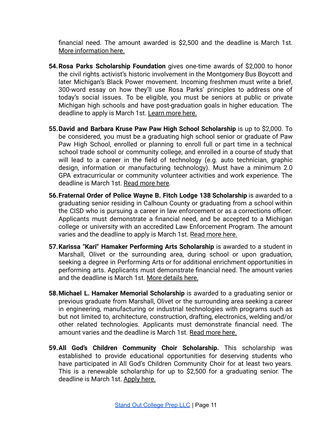financial need. The amount awarded is \$2,500 and the deadline is March 1st. [More information here.](https://www.kalfound.org/Scholarships/ScholarshipSearch/tabid/230/s/1274/Default.aspx)

- **54.Rosa Parks Scholarship Foundation** gives one-time awards of \$2,000 to honor the civil rights activist's historic involvement in the Montgomery Bus Boycott and later Michigan's Black Power movement. Incoming freshmen must write a brief, 300-word essay on how they'll use Rosa Parks' principles to address one of today's social issues. To be eligible, you must be seniors at public or private Michigan high schools and have post-graduation goals in higher education. The deadline to apply is March 1st. [Learn more here.](https://www.rosaparksscholarship.org/)
- **55.David and Barbara Kruse Paw Paw High School Scholarship** is up to \$2,000. To be considered, you must be a graduating high school senior or graduate of Paw Paw High School, enrolled or planning to enroll full or part time in a technical school trade school or community college, and enrolled in a course of study that will lead to a career in the field of technology (e.g. auto technician, graphic design, information or manufacturing technology). Must have a minimum 2.0 GPA extracurricular or community volunteer activities and work experience. The deadline is March 1st. [Read more here.](https://www.kalfound.org/Scholarships/ScholarshipSearch/tabid/230/s/1260/Default.aspx)
- **56.Fraternal Order of Police Wayne B. Fitch Lodge 138 Scholarship** is awarded to a graduating senior residing in Calhoun County or graduating from a school within the CISD who is pursuing a career in law enforcement or as a corrections officer. Applicants must demonstrate a financial need, and be accepted to a Michigan college or university with an accredited Law Enforcement Program. The amount varies and the deadline to apply is March 1st. Read [more here.](https://www.bccfoundation.org/uploads/files/Fraternal%20Order%20of%20Police%20Wayne%20B%20%20Fitch%20Lodge%20138%20Scholarship.pdf)
- **57.Karissa "Kari" Hamaker Performing Arts Scholarship** is awarded to a student in Marshall, Olivet or the surrounding area, during school or upon graduation, seeking a degree in Performing Arts or for additional enrichment opportunities in performing arts. Applicants must demonstrate financial need. The amount varies and the deadline is March 1st. [More details here.](http://hs.harpercreek.net/common/pages/DisplayFile.aspx?itemId=13138681)
- **58.Michael L. Hamaker Memorial Scholarship** is awarded to a graduating senior or previous graduate from Marshall, Olivet or the surrounding area seeking a career in engineering, manufacturing or industrial technologies with programs such as but not limited to, architecture, construction, drafting, electronics, welding and/or other related technologies. Applicants must demonstrate financial need. The amount varies and the deadline is March 1st. Read [more here.](http://hs.harpercreek.net/common/pages/DisplayFile.aspx?itemId=13138683)
- **59.All God's Children Community Choir Scholarship.** This scholarship was established to provide educational opportunities for deserving students who have participated in All God's Children Community Choir for at least two years. This is a renewable scholarship for up to \$2,500 for a graduating senior. The deadline is March 1st. [Apply](https://www.berriencommunity.org/sites/berriencommunity.org/files/Scholarships/2021%20All%20God%27s%20Children%20Community%20Choir.docx) here.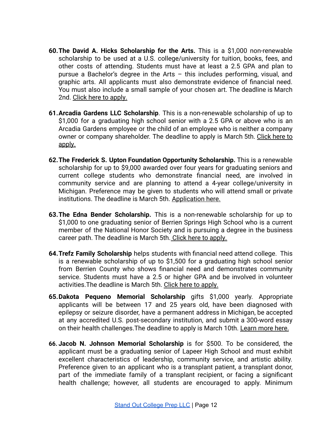- **60.The David A. Hicks Scholarship for the Arts.** This is a \$1,000 non-renewable scholarship to be used at a U.S. college/university for tuition, books, fees, and other costs of attending. Students must have at least a 2.5 GPA and plan to pursue a Bachelor's degree in the Arts – this includes performing, visual, and graphic arts. All applicants must also demonstrate evidence of financial need. You must also include a small sample of your chosen art. The deadline is March 2nd. [Click here to apply.](https://www.berriencommunity.org/sites/berriencommunity.org/files/Scholarships/2021%20David%20A.%20Hicks%20Scholarship%20for%20the%20Arts.docx)
- **61.Arcadia Gardens LLC Scholarship**. This is a non-renewable scholarship of up to \$1,000 for a graduating high school senior with a 2.5 GPA or above who is an Arcadia Gardens employee or the child of an employee who is neither a company owner or company shareholder. The deadline to apply is March 5th. [Click](https://www.berriencommunity.org/sites/berriencommunity.org/files/Scholarships/2021%20Arcadia%20Gardens%20LLC.docx) here to [apply.](https://www.berriencommunity.org/sites/berriencommunity.org/files/Scholarships/2021%20Arcadia%20Gardens%20LLC.docx)
- **62.The Frederick S. Upton Foundation Opportunity Scholarship.** This is a renewable scholarship for up to \$9,000 awarded over four years for graduating seniors and current college students who demonstrate financial need, are involved in community service and are planning to attend a 4-year college/university in Michigan. Preference may be given to students who will attend small or private institutions. The deadline is March 5th. [Application](https://www.berriencommunity.org/sites/berriencommunity.org/files/Scholarships/2021%20Frederick%20S.%20Upton%20Foundation%20Opportunity.docx) here.
- **63.The Edna Bender Scholarship.** This is a non-renewable scholarship for up to \$1,000 to one graduating senior of Berrien Springs High School who is a current member of the National Honor Society and is pursuing a degree in the business career path. The deadline is March 5th. [Click here](https://www.berriencommunity.org/sites/berriencommunity.org/files/Scholarships/2021%20Edna%20Bender.docx) to apply.
- **64.Trefz Family Scholarship** helps students with financial need attend college. This is a renewable scholarship of up to \$1,500 for a graduating high school senior from Berrien County who shows financial need and demonstrates community service. Students must have a 2.5 or higher GPA and be involved in volunteer activities.The deadline is March 5th. [Click here to](https://www.berriencommunity.org/sites/berriencommunity.org/files/Scholarships/2021%20Trefz%20Family.docx) apply.
- **65.Dakota Pequeno Memorial Scholarship** gifts \$1,000 yearly. Appropriate applicants will be between 17 and 25 years old, have been diagnosed with epilepsy or seizure disorder, have a permanent address in Michigan, be accepted at any accredited U.S. post-secondary institution, and submit a 300-word essay on their health challenges.The deadline to apply is March 10th. [Learn more here.](https://epilepsymichigan.org/docs/2021DakotaPequenoScholarship.pdf)
- **66. Jacob N. Johnson Memorial Scholarship** is for \$500. To be considered, the applicant must be a graduating senior of Lapeer High School and must exhibit excellent characteristics of leadership, community service, and artistic ability. Preference given to an applicant who is a transplant patient, a transplant donor, part of the immediate family of a transplant recipient, or facing a significant health challenge; however, all students are encouraged to apply. Minimum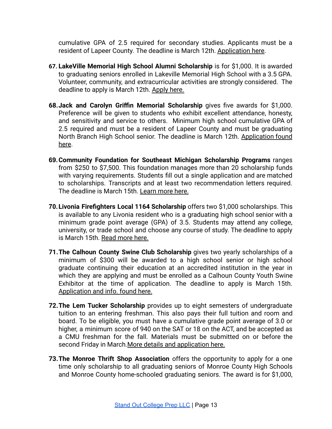cumulative GPA of 2.5 required for secondary studies. Applicants must be a resident of Lapeer County*.* The deadline is March 12th. [Application here.](https://lapeercountycf.org/wp-content/uploads/2021/01/2021-2022-Johnson-fillable-app-final.docx)

- **67. LakeVille Memorial High School Alumni Scholarship** is for \$1,000. It is awarded to graduating seniors enrolled in Lakeville Memorial High School with a 3.5 GPA. Volunteer, community, and extracurricular activities are strongly considered. The deadline to apply is March 12th. [Apply here.](https://lapeercountycf.org/wp-content/uploads/2021/01/2021-2022-LakeVille-fillable-app-final.docx)
- **68.Jack and Carolyn Griffin Memorial Scholarship** gives five awards for \$1,000. Preference will be given to students who exhibit excellent attendance, honesty, and sensitivity and service to others. Minimum high school cumulative GPA of 2.5 required and must be a resident of Lapeer County and must be graduating North Branch High School senior. The deadline is March 12th. [Application](https://lapeercountycf.org/wp-content/uploads/2021/01/2021-2022-Griffin-Part-1-II-fillable-app-final.docx) found [here](https://lapeercountycf.org/wp-content/uploads/2021/01/2021-2022-Griffin-Part-1-II-fillable-app-final.docx).
- **69.Community Foundation for Southeast Michigan Scholarship Programs** ranges from \$250 to \$7,500. This foundation manages more than 20 scholarship funds with varying requirements. Students fill out a single application and are matched to scholarships. Transcripts and at least two recommendation letters required. The deadline is March 15th. [Learn more here.](https://cfsem.org/scholarships/scholarship-opportunities/)
- **70.Livonia Firefighters Local 1164 Scholarship** offers two \$1,000 scholarships. This is available to any Livonia resident who is a graduating high school senior with a minimum grade point average (GPA) of 3.5. Students may attend any college, university, or trade school and choose any course of study. The deadline to apply is March 15th. [Read more here.](http://livoniafirefighters.unionactive.com/?zone=/unionactive/view_page.cfm&page=Scholarship)
- **71.The Calhoun County Swine Club Scholarship** gives two yearly scholarships of a minimum of \$300 will be awarded to a high school senior or high school graduate continuing their education at an accredited institution in the year in which they are applying and must be enrolled as a Calhoun County Youth Swine Exhibitor at the time of application. The deadline to apply is March 15th. [Application and info. found here.](https://www.canr.msu.edu/uploads/234/39302/Member_Scholarship/Calhoun_County_Swine_Club_Scholarship.pdf)
- **72.The Lem Tucker Scholarship** provides up to eight semesters of undergraduate tuition to an entering freshman. This also pays their full tuition and room and board. To be eligible, you must have a cumulative grade point average of 3.0 or higher, a minimum score of 940 on the SAT or 18 on the ACT, and be accepted as a CMU freshman for the fall. Materials must be submitted on or before the second Friday in March. [More details and application](https://www.cmich.edu/colleges/cam/IPR/Documents/Lem%20Tucker%20Application%20%E2%80%9921.pdf) here.
- **73.The Monroe Thrift Shop Association** offers the opportunity to apply for a one time only scholarship to all graduating seniors of Monroe County High Schools and Monroe County home-schooled graduating seniors. The award is for \$1,000,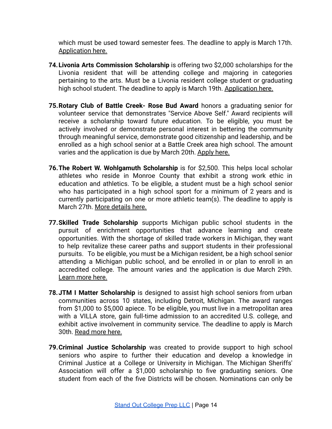which must be used toward semester fees. The deadline to apply is March 17th. [Application here.](https://www.monroe.k12.mi.us/files/user/1724/file/Thrift%20Shop%20Scholarship%20Application%2021.pdf)

- **74.Livonia Arts Commission Scholarship** is offering two \$2,000 scholarships for the Livonia resident that will be attending college and majoring in categories pertaining to the arts. Must be a Livonia resident college student or graduating high school student. The deadline to apply is March 19th. [Application](https://livonia.gov/DocumentCenter/View/1986/Livonia-Arts-Scholarship-Application-2020-PDF) here.
- **75.Rotary Club of Battle Creek- Rose Bud Award** honors a graduating senior for volunteer service that demonstrates "Service Above Self." Award recipients will receive a scholarship toward future education. To be eligible, you must be actively involved or demonstrate personal interest in bettering the community through meaningful service, demonstrate good citizenship and leadership, and be enrolled as a high school senior at a Battle Creek area high school. The amount varies and the application is due by March 20th. [Apply](http://hs.harpercreek.net/common/pages/DisplayFile.aspx?itemId=13183091) here.
- **76.The Robert W. Wohlgamuth Scholarship** is for \$2,500. This helps local scholar athletes who reside in Monroe County that exhibit a strong work ethic in education and athletics. To be eligible, a student must be a high school senior who has participated in a high school sport for a minimum of 2 years and is currently participating on one or more athletic team(s). The deadline to apply is March 27th. [More details here.](https://www.monroe.k12.mi.us/files/user/1724/file/2021%20Scholarship%20Information.pdf)
- **77.Skilled Trade Scholarship** supports Michigan public school students in the pursuit of enrichment opportunities that advance learning and create opportunities. With the shortage of skilled trade workers in Michigan, they want to help revitalize these career paths and support students in their professional pursuits. To be eligible, you must be a Michigan resident, be a high school senior attending a Michigan public school, and be enrolled in or plan to enroll in an accredited college. The amount varies and the application is due March 29th. [Learn more here.](http://hs.harpercreek.net/common/pages/DisplayFile.aspx?itemId=13161842)
- **78.JTM I Matter Scholarship** is designed to assist high school seniors from urban communities across 10 states, including Detroit, Michigan. The award ranges from \$1,000 to \$5,000 apiece. To be eligible, you must live in a metropolitan area with a VILLA store, gain full-time admission to an accredited U.S. college, and exhibit active involvement in community service. The deadline to apply is March 30th. [Read more here.](https://www.ruvilla.com/jtm/imatter)
- **79.Criminal Justice Scholarship** was created to provide support to high school seniors who aspire to further their education and develop a knowledge in Criminal Justice at a College or University in Michigan. The Michigan Sheriffs' Association will offer a \$1,000 scholarship to five graduating seniors. One student from each of the five Districts will be chosen. Nominations can only be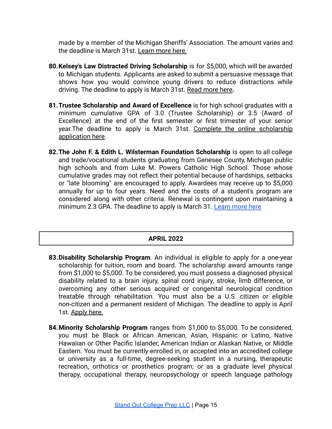made by a member of the Michigan Sheriffs' Association. The amount varies and the deadline is March 31st. [Learn more here.](https://www.misheriff.org/programs/)

- **80.Kelsey's Law Distracted Driving Scholarship** is for \$5,000, which will be awarded to Michigan students. Applicants are asked to submit a persuasive message that shows how you would convince young drivers to reduce distractions while driving. The deadline to apply is March 31st. Read [more here](https://www.michiganautolaw.com/scholarships/kelseys-law/)**.**
- **81.Trustee Scholarship and Award of Excellence** is for high school graduates with a minimum cumulative GPA of 3.0 (Trustee Scholarship) or 3.5 (Award of Excellence) at the end of the first semester or first trimester of your senior year.The deadline to apply is March 31st. Complete the online [scholarship](https://schoolcraft.academicworks.com/users/sign_in) [application](https://schoolcraft.academicworks.com/users/sign_in) here.
- **82.The John F. & Edith L. Wilsterman Foundation Scholarship** is open to all college and trade/vocational students graduating from Genesee County, Michigan public high schools and from Luke M. Powers Catholic High School. Those whose cumulative grades may not reflect their potential because of hardships, setbacks or "late blooming" are encouraged to apply. Awardees may receive up to \$5,000 annually for up to four years. Need and the costs of a student's program are considered along with other criteria. Renewal is contingent upon maintaining a minimum 2.3 GPA. The deadline to apply is March 31. [Learn more here](https://www.wilsterman.org/apply)

### **APRIL 2022**

- **83.Disability Scholarship Program**. An individual is eligible to apply for a one-year scholarship for tuition, room and board. The scholarship award amounts range from \$1,000 to \$5,000. To be considered, you must possess a diagnosed physical disability related to a brain injury, spinal cord injury, stroke, limb difference, or overcoming any other serious acquired or congenital neurological condition treatable through rehabilitation. You must also be a U.S. citizen or eligible non-citizen and a permanent resident of Michigan. The deadline to apply is April 1st. [Apply here.](https://www.maryfreebed.com/wp-content/uploads/2020/12/Disability-Scholarship-Application-2021-2022.pdf)
- **84.Minority Scholarship Program** ranges from \$1,000 to \$5,000. To be considered, you must be Black or African American, Asian, Hispanic or Latino, Native Hawaiian or Other Pacific Islander, American Indian or Alaskan Native, or Middle Eastern. You must be currently enrolled in, or accepted into an accredited college or university as a full-time, degree-seeking student in a nursing, therapeutic recreation, orthotics or prosthetics program; or as a graduate level physical therapy, occupational therapy, neuropsychology or speech language pathology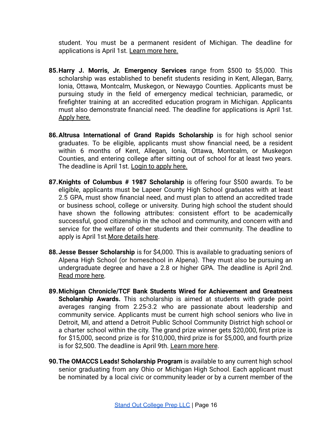student. You must be a permanent resident of Michigan. The deadline for applications is April 1st. [Learn more here.](https://www.maryfreebed.com/wp-content/uploads/2020/12/Minority-Scholarship-Application-2021-2022.pdf)

- **85.Harry J. Morris, Jr. Emergency Services** range from \$500 to \$5,000. This scholarship was established to benefit students residing in Kent, Allegan, Barry, Ionia, Ottawa, Montcalm, Muskegon, or Newaygo Counties. Applicants must be pursuing study in the field of emergency medical technician, paramedic, or firefighter training at an accredited education program in Michigan. Applicants must also demonstrate financial need. The deadline for applications is April 1st. [Apply here.](https://grfoundation.egrant.net/login.aspx?PIID=147&OID=108)
- **86.Altrusa International of Grand Rapids Scholarship** is for high school senior graduates. To be eligible, applicants must show financial need, be a resident within 6 months of Kent, Allegan, Ionia, Ottawa, Montcalm, or Muskegon Counties, and entering college after sitting out of school for at least two years. The deadline is April 1st. [Login to apply here.](https://grfoundation.egrant.net/login.aspx?PIID=147&OID=108)
- **87.Knights of Columbus # 1987 Scholarship** is offering four \$500 awards. To be eligible, applicants must be Lapeer County High School graduates with at least 2.5 GPA, must show financial need, and must plan to attend an accredited trade or business school, college or university. During high school the student should have shown the following attributes: consistent effort to be academically successful, good citizenship in the school and community, and concern with and service for the welfare of other students and their community. The deadline to apply is April 1st.[More details here](http://www.almontschools.org/UserFiles/Servers/Server_4922/File/Counseling/k%20of%20c%20council%201987%20scholarship.pdf).
- **88.Jesse Besser Scholarship** is for \$4,000. This is available to graduating seniors of Alpena High School (or homeschool in Alpena). They must also be pursuing an undergraduate degree and have a 2.8 or higher GPA. The deadline is April 2nd. [Read more here.](https://cfnemscholarships.awardspring.com/Home/ScholarshipDetails/60564)
- **89.Michigan Chronicle/TCF Bank Students Wired for Achievement and Greatness Scholarship Awards.** This scholarship is aimed at students with grade point averages ranging from 2.25-3.2 who are passionate about leadership and community service. Applicants must be current high school seniors who live in Detroit, MI, and attend a Detroit Public School Community District high school or a charter school within the city. The grand prize winner gets \$20,000, first prize is for \$15,000, second prize is for \$10,000, third prize is for \$5,000, and fourth prize is for \$2,500. The deadline is April 9th. [Learn more](https://michiganchronicle.com/swagawards/) here.
- **90.The OMACCS Leads! Scholarship Program** is available to any current high school senior graduating from any Ohio or Michigan High School. Each applicant must be nominated by a local civic or community leader or by a current member of the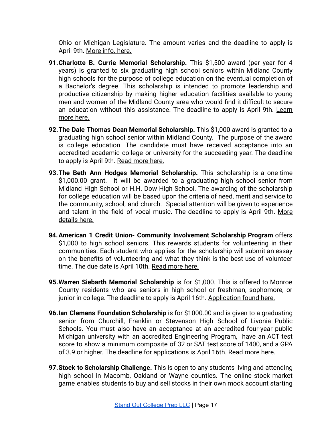Ohio or Michigan Legislature. The amount varies and the deadline to apply is April 9th. [More info. here.](https://omaccs.org/wp-content/uploads/2021/02/2021-LEADS-Scholarship-Booklet.pdf)

- **91.Charlotte B. Currie Memorial Scholarship.** This \$1,500 award (per year for 4 years) is granted to six graduating high school seniors within Midland County high schools for the purpose of college education on the eventual completion of a Bachelor's degree. This scholarship is intended to promote leadership and productive citizenship by making higher education facilities available to young men and women of the Midland County area who would find it difficult to secure an education without this assistance. The deadline to apply is April 9th. [Learn](https://www.mempres.org/scholarships) [more here.](https://www.mempres.org/scholarships)
- **92.The Dale Thomas Dean Memorial Scholarship.** This \$1,000 award is granted to a graduating high school senior within Midland County. The purpose of the award is college education. The candidate must have received acceptance into an accredited academic college or university for the succeeding year. The deadline to apply is April 9th. [Read more here.](https://www.mempres.org/scholarships)
- **93.The Beth Ann Hodges Memorial Scholarship.** This scholarship is a one-time \$1,000.00 grant. It will be awarded to a graduating high school senior from Midland High School or H.H. Dow High School. The awarding of the scholarship for college education will be based upon the criteria of need, merit and service to the community, school, and church. Special attention will be given to experience and talent in the field of vocal music. The deadline to apply is April 9th. [More](https://www.mempres.org/scholarships) [details here.](https://www.mempres.org/scholarships)
- **94.American 1 Credit Union- Community Involvement Scholarship Program** offers \$1,000 to high school seniors. This rewards students for volunteering in their communities. Each student who applies for the scholarship will submit an essay on the benefits of volunteering and what they think is the best use of volunteer time. The due date is April 10th. [Read more here.](http://hs.harpercreek.net/common/pages/DisplayFile.aspx?itemId=13202086)
- **95.Warren Siebarth Memorial Scholarship** is for \$1,000. This is offered to Monroe County residents who are seniors in high school or freshman, sophomore, or junior in college. The deadline to apply is April 16th. [Application found here.](https://www.monroe.k12.mi.us/files/user/1724/file/Monroe%20County%20Fair%20Association%20Warren%20Siebarth%20Memorial%20Scholarship%202021.pdf)
- **96.Ian Clemens Foundation Scholarship** is for \$1000.00 and is given to a graduating senior from Churchill, Franklin or Stevenson High School of Livonia Public Schools. You must also have an acceptance at an accredited four-year public Michigan university with an accredited Engineering Program, have an ACT test score to show a minimum composite of 32 or SAT test score of 1400, and a GPA of 3.9 or higher. The deadline for applications is April 16th. [Read more here.](http://ianclemensfoundation.org/index.php/home/scholarship-information/)
- **97.Stock to Scholarship Challenge.** This is open to any students living and attending high school in Macomb, Oakland or Wayne counties. The online stock market game enables students to buy and sell stocks in their own mock account starting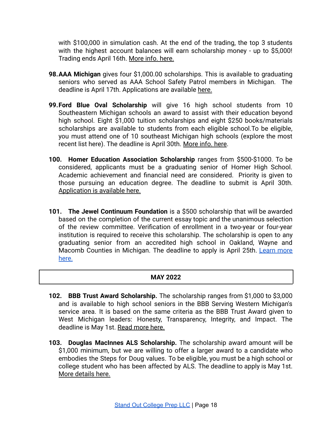with \$100,000 in simulation cash. At the end of the trading, the top 3 students with the highest account balances will earn scholarship money - up to \$5,000! Trading ends April 16th. [More info. here.](https://www.stocktoscholarship.com/game-overview---rules.html)

- **98.AAA Michigan** gives four \$1,000.00 scholarships. This is available to graduating seniors who served as AAA School Safety Patrol members in Michigan. The deadline is April 17th. Applications are available [here.](https://oxfordhigh.oxfordschools.org/UserFiles/Servers/Server_734760/File/Academics/Scholarships/AAA%20School%20Saftey%20Patrol%20Scholarship.pdf)
- **99.Ford Blue Oval Scholarship** will give 16 high school students from 10 Southeastern Michigan schools an award to assist with their education beyond high school. Eight \$1,000 tuition scholarships and eight \$250 books/materials scholarships are available to students from each eligible school.To be eligible, you must attend one of 10 southeast Michigan high schools [\(explore](https://www.gvsu.edu/financialaid/scholarships-view.htm?scholarshipId=BF3A0D91-BB7D-46B8-198D92067552B6D1) the most [recent list here\)](https://www.gvsu.edu/financialaid/scholarships-view.htm?scholarshipId=BF3A0D91-BB7D-46B8-198D92067552B6D1). The deadline is April 30th. More [info. here](https://fgb.life/what-we-do/education/fordblueovalscholarship).
- **100. Homer Education Association Scholarship** ranges from \$500-\$1000. To be considered, applicants must be a graduating senior of Homer High School. Academic achievement and financial need are considered. Priority is given to those pursuing an education degree. The deadline to submit is April 30th. A[pplication is available here.](https://www.homerschools.net/userfiles/97/my%20files/hea%20scholarship%202021.pdf?id=6980)
- **101. The Jewel Continuum Foundation** is a \$500 scholarship that will be awarded based on the completion of the current essay topic and the unanimous selection of the review committee. Verification of enrollment in a two-year or four-year institution is required to receive this scholarship. The scholarship is open to any graduating senior from an accredited high school in Oakland, Wayne and Macomb Counties in Michigan. The deadline to apply is April 25th. [Learn](https://www.jewelcontinuumfoundation.com) more [here.](https://www.jewelcontinuumfoundation.com)

## **MAY 2022**

- **102. BBB Trust Award Scholarship.** The scholarship ranges from \$1,000 to \$3,000 and is available to high school seniors in the BBB Serving Western Michigan's service area. It is based on the same criteria as the BBB Trust Award given to West Michigan leaders: Honesty, Transparency, Integrity, and Impact. The deadline is May 1st. [Read more here.](https://www.bbb.org/western-michigan/bbb-awards/Trust-Award-Scholarship/)
- **103. Douglas MacInnes ALS Scholarship.** The scholarship award amount will be \$1,000 minimum, but we are willing to offer a larger award to a candidate who embodies the Steps for Doug values. To be eligible, you must be a high school or college student who has been affected by ALS. The deadline to apply is May 1st. [More details here.](http://stepsfordoug.org/scholarship-application/)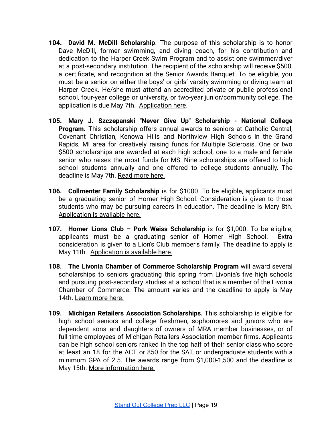- **104. David M. McDill Scholarship**. The purpose of this scholarship is to honor Dave McDill, former swimming, and diving coach, for his contribution and dedication to the Harper Creek Swim Program and to assist one swimmer/diver at a post-secondary institution. The recipient of the scholarship will receive \$500, a certificate, and recognition at the Senior Awards Banquet. To be eligible, you must be a senior on either the boys' or girls' varsity swimming or diving team at Harper Creek. He/she must attend an accredited private or public professional school, four-year college or university, or two-year junior/community college. The application is due May 7th. [Application here](http://hs.harpercreek.net/common/pages/DisplayFile.aspx?itemId=13296482).
- **105. Mary J. Szczepanski "Never Give Up" Scholarship - National College Program.** This scholarship offers annual awards to seniors at Catholic Central, Covenant Christian, Kenowa Hills and Northview High Schools in the Grand Rapids, MI area for creatively raising funds for Multiple Sclerosis. One or two \$500 scholarships are awarded at each high school, one to a male and female senior who raises the most funds for MS. Nine scholarships are offered to high school students annually and one offered to college students annually. The deadline is May 7th. [Read more here.](https://msscholarship.org)
- **106. Collmenter Family Scholarship** is for \$1000. To be eligible, applicants must be a graduating senior of Homer High School. Consideration is given to those students who may be pursuing careers in education. The deadline is Mary 8th. A[pplication is available here.](https://www.homerschools.net/userfiles/97/my%20files/collmenter.pdf?id=6460)
- **107. Homer Lions Club – Pork Weiss Scholarship** is for \$1,000. To be eligible, applicants must be a graduating senior of Homer High School. Extra consideration is given to a Lion's Club member's family. The deadline to apply is May 11th. [Application is available here.](https://www.homerschools.net/userfiles/97/my%20files/lions%20club%20scholarship%2021.pdf?id=7015)
- **108. The Livonia Chamber of Commerce Scholarship Program** will award several scholarships to seniors graduating this spring from Livonia's five high schools and pursuing post-secondary studies at a school that is a member of the Livonia Chamber of Commerce. The amount varies and the deadline to apply is May 14th. [Learn more here.](http://www.livonia.org/)
- **109. Michigan Retailers Association Scholarships.** This scholarship is eligible for high school seniors and college freshmen, sophomores and juniors who are dependent sons and daughters of owners of MRA member businesses, or of full-time employees of Michigan Retailers Association member firms. Applicants can be high school seniors ranked in the top half of their senior class who score at least an 18 for the ACT or 850 for the SAT, or undergraduate students with a minimum GPA of 2.5. The awards range from \$1,000-1,500 and the deadline is May 15th. [More information here.](https://www.retailers.com/member-benefits/scholarship-program/)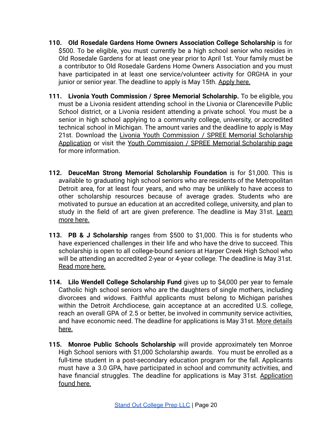- **110. Old Rosedale Gardens Home Owners Association College Scholarship** is for \$500. To be eligible, you must currently be a high school senior who resides in Old Rosedale Gardens for at least one year prior to April 1st. Your family must be a contributor to Old Rosedale Gardens Home Owners Association and you must have participated in at least one service/volunteer activity for ORGHA in your junior or senior year. The deadline to apply is May 15th. [Apply here.](http://www.tmwozniak.com/rosedalegardens/ewExternalFiles/ScholarshipForm2016.pdf)
- **111. Livonia Youth Commission / Spree Memorial Scholarship.** To be eligible, you must be a Livonia resident attending school in the Livonia or Clarenceville Public School district, or a Livonia resident attending a private school. You must be a senior in high school applying to a community college, university, or accredited technical school in Michigan. The amount varies and the deadline to apply is May 21st. Download the Livonia Youth [Commission](https://livonia.gov/DocumentCenter/View/1247/Livonia-Youth-Commission--SPREE-Memorial-Scholarship-Application-PDF) / SPREE Memorial Scholarship [Application](https://livonia.gov/DocumentCenter/View/1247/Livonia-Youth-Commission--SPREE-Memorial-Scholarship-Application-PDF) or visit the Youth [Commission](https://livonia.gov/1630/Youth-Commission-SPREE-Memorial-Scholars) / SPREE Memorial Scholarship page for more information.
- **112. DeuceMan Strong Memorial Scholarship Foundation** is for \$1,000. This is available to graduating high school seniors who are residents of the Metropolitan Detroit area, for at least four years, and who may be unlikely to have access to other scholarship resources because of average grades. Students who are motivated to pursue an education at an accredited college, university, and plan to study in the field of art are given preference. The deadline is May 31st. [Learn](https://deucemanstrong.com) [more here.](https://deucemanstrong.com)
- **113. PB & J Scholarship** ranges from \$500 to \$1,000. This is for students who have experienced challenges in their life and who have the drive to succeed. This scholarship is open to all college-bound seniors at Harper Creek High School who will be attending an accredited 2-year or 4-year college. The deadline is May 31st. [Read more here.](http://hs.harpercreek.net/common/pages/DisplayFile.aspx?itemId=13154003)
- **114. Lilo Wendell College Scholarship Fund** gives up to \$4,000 per year to female Catholic high school seniors who are the daughters of single mothers, including divorcees and widows. Faithful applicants must belong to Michigan parishes within the Detroit Archdiocese, gain acceptance at an accredited U.S. college, reach an overall GPA of 2.5 or better, be involved in community service activities, and have economic need. The deadline for applications is May 31st. More [details](http://www.aod.org/schools/tuition-assistance-and-scholarships/lilo-wendell-scholarship/) [here.](http://www.aod.org/schools/tuition-assistance-and-scholarships/lilo-wendell-scholarship/)
- **115. Monroe Public Schools Scholarship** will provide approximately ten Monroe High School seniors with \$1,000 Scholarship awards. You must be enrolled as a full-time student in a post-secondary education program for the fall. Applicants must have a 3.0 GPA, have participated in school and community activities, and have financial struggles. The deadline for applications is May 31st. [Application](https://www.monroe.k12.mi.us/files/user/469/file/MPS_Scholarship%20(1)_docx2021(3).docx) [found here.](https://www.monroe.k12.mi.us/files/user/469/file/MPS_Scholarship%20(1)_docx2021(3).docx)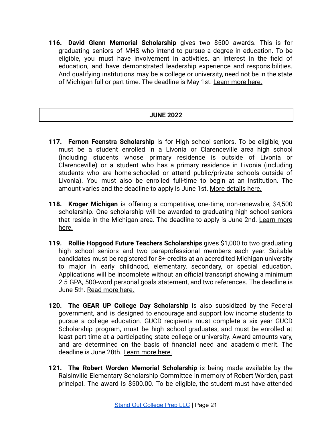**116. David Glenn Memorial Scholarship** gives two \$500 awards. This is for graduating seniors of MHS who intend to pursue a degree in education. To be eligible, you must have involvement in activities, an interest in the field of education, and have demonstrated leadership experience and responsibilities. And qualifying institutions may be a college or university, need not be in the state of Michigan full or part time. The deadline is May 1st. [Learn more here.](https://www.gmacf.org/scholarship/david-glenn-memorial-scholarship-fund/)

## **JUNE 2022**

- **117. Fernon Feenstra Scholarship** is for High school seniors. To be eligible, you must be a student enrolled in a Livonia or Clarenceville area high school (including students whose primary residence is outside of Livonia or Clarenceville) or a student who has a primary residence in Livonia (including students who are home-schooled or attend public/private schools outside of Livonia). You must also be enrolled full-time to begin at an institution. The amount varies and the deadline to apply is June 1st. [More details here.](https://www.livoniakiwanis.org/scholarships.html)
- **118. Kroger Michigan** is offering a competitive, one-time, non-renewable, \$4,500 scholarship. One scholarship will be awarded to graduating high school seniors that reside in the Michigan area. The deadline to apply is June 2nd. [Learn](https://scholarships.uncf.org/Program/Details/af32cff8-8cc0-4001-a221-405b6852cbcd) more [here.](https://scholarships.uncf.org/Program/Details/af32cff8-8cc0-4001-a221-405b6852cbcd)
- **119. Rollie Hopgood Future Teachers Scholarships** gives \$1,000 to two graduating high school seniors and two paraprofessional members each year. Suitable candidates must be registered for 8+ credits at an accredited Michigan university to major in early childhood, elementary, secondary, or special education. Applications will be incomplete without an official transcript showing a minimum 2.5 GPA, 500-word personal goals statement, and two references. The deadline is June 5th. [Read more here.](http://aftmichigan.org/scholarships-and-grants/)
- **120. The GEAR UP College Day Scholarship** is also subsidized by the Federal government, and is designed to encourage and support low income students to pursue a college education. GUCD recipients must complete a six year GUCD Scholarship program, must be high school graduates, and must be enrolled at least part time at a participating state college or university. Award amounts vary, and are determined on the basis of financial need and academic merit. The deadline is June 28th. [Learn more here.](https://www.michigan.gov/documents/mistudentaid/GUCDFactSheet_450706_7.pdf)
- **121. The Robert Worden Memorial Scholarship** is being made available by the Raisinville Elementary Scholarship Committee in memory of Robert Worden, past principal. The award is \$500.00. To be eligible, the student must have attended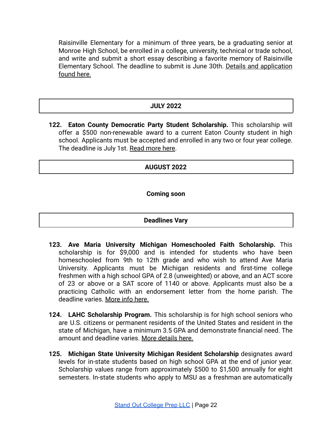Raisinville Elementary for a minimum of three years, be a graduating senior at Monroe High School, be enrolled in a college, university, technical or trade school, and write and submit a short essay describing a favorite memory of Raisinville Elementary School. The deadline to submit is June 30th. Details and [application](https://www.monroe.k12.mi.us/files/user/469/file/2021%20RaisinvilleScholarship.pdf) [found here.](https://www.monroe.k12.mi.us/files/user/469/file/2021%20RaisinvilleScholarship.pdf)

#### **JULY 2022**

**122. Eaton County Democratic Party Student Scholarship.** This scholarship will offer a \$500 non-renewable award to a current Eaton County student in high school. Applicants must be accepted and enrolled in any two or four year college. The deadline is July 1st. [Read more here](https://eatoncountydemocrats.org/2021/01/13/2021-eaton-county-democratic-party-scholarship/).

### **AUGUST 2022**

**Coming soon**

#### **Deadlines Vary**

- **123. Ave Maria University Michigan Homeschooled Faith Scholarship.** This scholarship is for \$9,000 and is intended for students who have been homeschooled from 9th to 12th grade and who wish to attend Ave Maria University. Applicants must be Michigan residents and first-time college freshmen with a high school GPA of 2.8 (unweighted) or above, and an ACT score of 23 or above or a SAT score of 1140 or above. Applicants must also be a practicing Catholic with an endorsement letter from the home parish. The deadline varies. [More info here.](https://www.avemaria.edu/future-students/scholarships/)
- **124. LAHC Scholarship Program.** This scholarship is for high school seniors who are U.S. citizens or permanent residents of the United States and resident in the state of Michigan, have a minimum 3.5 GPA and demonstrate financial need. The amount and deadline varies. [More details here.](https://lahc.org/scholarship-program/)
- **125. Michigan State University Michigan Resident Scholarship** designates award levels for in-state students based on high school GPA at the end of junior year. Scholarship values range from approximately \$500 to \$1,500 annually for eight semesters. In-state students who apply to MSU as a freshman are automatically